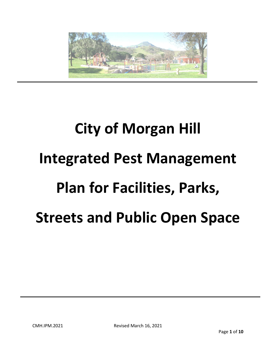

# **City of Morgan Hill Integrated Pest Management Plan for Facilities, Parks, Streets and Public Open Space**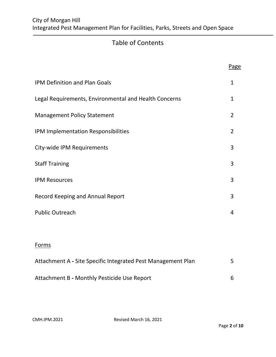# Table of Contents

|                                                              | Page           |
|--------------------------------------------------------------|----------------|
| <b>IPM Definition and Plan Goals</b>                         | $\mathbf{1}$   |
| Legal Requirements, Environmental and Health Concerns        | 1              |
| <b>Management Policy Statement</b>                           | $\overline{2}$ |
| IPM Implementation Responsibilities                          | $\overline{2}$ |
| City-wide IPM Requirements                                   | 3              |
| <b>Staff Training</b>                                        | 3              |
| <b>IPM Resources</b>                                         | 3              |
| Record Keeping and Annual Report                             | 3              |
| <b>Public Outreach</b>                                       | $\overline{4}$ |
|                                                              |                |
| Forms                                                        |                |
| Attachment A - Site Specific Integrated Pest Management Plan | 5              |
| Attachment B - Monthly Pesticide Use Report                  | 6              |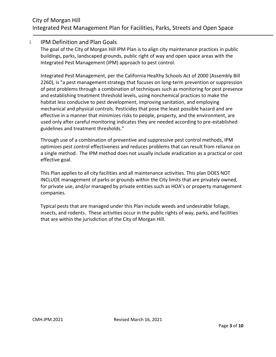#### I. IPM Definition and Plan Goals

The goal of the City of Morgan Hill IPM Plan is to align city maintenance practices in public buildings, parks, landscaped grounds, public right of way and open space areas with the Integrated Pest Management (IPM) approach to pest control.

Integrated Pest Management, per the California Healthy Schools Act of 2000 (Assembly Bill 2260), is "a pest management strategy that focuses on long-term prevention or suppression of pest problems through a combination of techniques such as monitoring for pest presence and establishing treatment threshold levels, using nonchemical practices to make the habitat less conducive to pest development, improving sanitation, and employing mechanical and physical controls. Pesticides that pose the least possible hazard and are effective in a manner that minimizes risks to people, property, and the environment, are used only after careful monitoring indicates they are needed according to pre-established guidelines and treatment thresholds."

Through use of a combination of preventive and suppressive pest control methods, IPM optimizes pest control effectiveness and reduces problems that can result from reliance on a single method. The IPM method does not usually include eradication as a practical or cost effective goal.

This Plan applies to all city facilities and all maintenance activities. This plan DOES NOT INCLUDE management of parks or grounds within the City limits that are privately owned, for private use, and/or managed by private entities such as HOA's or property management companies.

Typical pests that are managed under this Plan include weeds and undesirable foliage, insects, and rodents. These activities occur in the public rights of way, parks, and facilities that are within the jurisdiction of the City of Morgan Hill.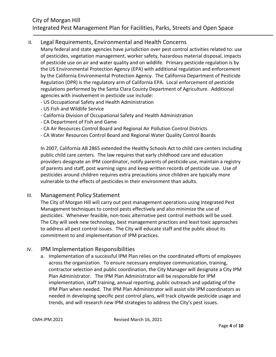#### II. Legal Requirements, Environmental and Health Concerns

Many federal and state agencies have jurisdiction over pest control activities related to: use of pesticides, vegetation management, worker safety, hazardous material disposal, impacts of pesticide use on air and water quality and on wildlife. Primary pesticide regulation is by the US Environmental Protection Agency (EPA) with additional regulation and enforcement by the California Environmental Protection Agency. The California Department of Pesticide Regulation (DPR) is the regulatory arm of California EPA. Local enforcement of pesticide regulations performed by the Santa Clara County Department of Agriculture. Additional agencies with involvement in pesticide use include:

- US Occupational Safety and Health Administration
- US Fish and Wildlife Service
- California Division of Occupational Safety and Health Administration
- CA Department of Fish and Game
- CA Air Resources Control Board and Regional Air Pollution Control Districts
- CA Water Resources Control Board and Regional Water Quality Control Boards

In 2007, California AB 2865 extended the Healthy Schools Act to child care centers including public child care centers. The law requires that early childhood care and education providers designate an IPM coordinator, notify parents of pesticide use, maintain a registry of parents and staff, post warning signs and keep written records of pesticide use. Use of pesticides around children requires extra precautions since children are typically more vulnerable to the effects of pesticides in their environment than adults.

#### III. Management Policy Statement

The City of Morgan Hill will carry out pest management operations using Integrated Pest Management techniques to control pests effectively and also minimize the use of pesticides. Whenever feasible, non-toxic alternative pest control methods will be used. The City will seek new technology, best management practices and least toxic approaches to address all pest control issues. The City will educate staff and the public about its commitment to and implementation of IPM practices.

#### IV. IPM Implementation Responsibilities

a. Implementation of a successful IPM Plan relies on the coordinated efforts of employees across the organization. To ensure necessary employee communication, training, contractor selection and public coordination, the City Manager will designate a City IPM Plan Administrator. The IPM Plan Administrator will be responsible for IPM implementation, staff training, annual reporting, public outreach and updating of the IPM Plan when needed. The IPM Plan Administrator will assist site IPM coordinators as needed in developing specific pest control plans, will track citywide pesticide usage and trends, and will research new IPM strategies to address the City's pest issues.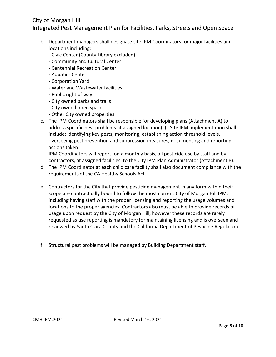### City of Morgan Hill Integrated Pest Management Plan for Facilities, Parks, Streets and Open Space

- b. Department managers shall designate site IPM Coordinators for major facilities and locations including:
	- Civic Center (County Library excluded)
	- Community and Cultural Center
	- Centennial Recreation Center
	- Aquatics Center
	- Corporation Yard
	- Water and Wastewater facilities
	- Public right of way
	- City owned parks and trails
	- City owned open space
	- Other City owned properties
- c. The IPM Coordinators shall be responsible for developing plans (Attachment A) to address specific pest problems at assigned location(s). Site IPM implementation shall include: identifying key pests, monitoring, establishing action threshold levels, overseeing pest prevention and suppression measures, documenting and reporting actions taken.

IPM Coordinators will report, on a monthly basis, all pesticide use by staff and by contractors, at assigned facilities, to the City IPM Plan Administrator (Attachment B).

- d. The IPM Coordinator at each child care facility shall also document compliance with the requirements of the CA Healthy Schools Act.
- e. Contractors for the City that provide pesticide management in any form within their scope are contractually bound to follow the most current City of Morgan Hill IPM, including having staff with the proper licensing and reporting the usage volumes and locations to the proper agencies. Contractors also must be able to provide records of usage upon request by the City of Morgan Hill, however these records are rarely requested as use reporting is mandatory for maintaining licensing and is overseen and reviewed by Santa Clara County and the California Department of Pesticide Regulation.
- f. Structural pest problems will be managed by Building Department staff.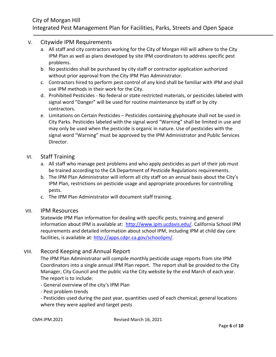#### V. Citywide IPM Requirements

- a. All staff and city contractors working for the City of Morgan Hill will adhere to the City IPM Plan as well as plans developed by site IPM coordinators to address specific pest problems.
- b. No pesticides shall be purchased by city staff or contractor application authorized without prior approval from the City IPM Plan Administrator.
- c. Contractors hired to perform pest control of any kind shall be familiar with IPM and shall use IPM methods in their work for the City.
- d. Prohibited Pesticides No federal or state restricted materials, or pesticides labeled with signal word "Danger" will be used for routine maintenance by staff or by city contractors.
- e. Limitations on Certain Pesticides Pesticides containing glyphosate shall not be used in City Parks. Pesticides labeled with the signal word "Warning" shall be limited in use and may only be used when the pesticide is organic in nature. Use of pesticides with the signal word "Warning" must be approved by the IPM Administrator and Public Services Director.

#### VI. Staff Training

- a. All staff who manage pest problems and who apply pesticides as part of their job must be trained according to the CA Department of Pesticide Regulations requirements.
- b. The IPM Plan Administrator will inform all city staff on an annual basis about the City's IPM Plan, restrictions on pesticide usage and appropriate procedures for controlling pests.
- c. The IPM Plan Administrator will document staff training.

#### VII. IPM Resources

Statewide IPM Plan information for dealing with specific pests, training and general information about IPM is available at: [http://www.ipm.ucdavis.edu/.](http://www.ipm.ucdavis.edu/) California School IPM requirements and detailed information about school IPM, including IPM at child day care facilities, is available at[: http://apps.cdpr.ca.gov/schoolipm/.](http://apps.cdpr.ca.gov/schoolipm/)

#### VIII. Record Keeping and Annual Report

The IPM Plan Administrator will compile monthly pesticide usage reports from site IPM Coordinators into a single annual IPM Plan report. The report shall be provided to the City Manager, City Council and the public via the City website by the end March of each year. The report is to include:

- General overview of the city's IPM Plan
- Pest problem trends

- Pesticides used during the past year, quantities used of each chemical, general locations where they were applied and target pests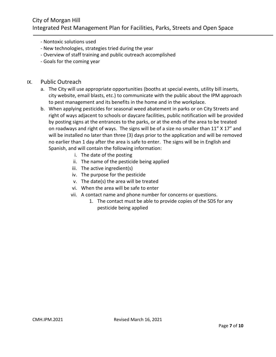- Nontoxic solutions used
- New technologies, strategies tried during the year
- Overview of staff training and public outreach accomplished
- Goals for the coming year

#### IX. Public Outreach

- a. The City will use appropriate opportunities (booths at special events, utility bill inserts, city website, email blasts, etc.) to communicate with the public about the IPM approach to pest management and its benefits in the home and in the workplace.
- b. When applying pesticides for seasonal weed abatement in parks or on City Streets and right of ways adjacent to schools or daycare facilities, public notification will be provided by posting signs at the entrances to the parks, or at the ends of the area to be treated on roadways and right of ways. The signs will be of a size no smaller than 11" X 17" and will be installed no later than three (3) days prior to the application and will be removed no earlier than 1 day after the area is safe to enter. The signs will be in English and Spanish, and will contain the following information:
	- i. The date of the posting
	- ii. The name of the pesticide being applied
	- iii. The active ingredient(s)
	- iv. The purpose for the pesticide
	- v. The date(s) the area will be treated
	- vi. When the area will be safe to enter
	- vii. A contact name and phone number for concerns or questions.
		- 1. The contact must be able to provide copies of the SDS for any pesticide being applied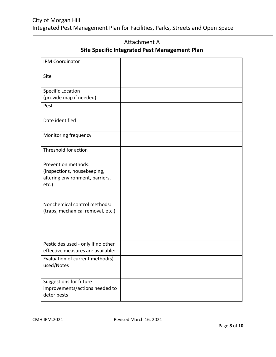## City of Morgan Hill Integrated Pest Management Plan for Facilities, Parks, Streets and Open Space

| IPM Coordinator                                                                                   |  |
|---------------------------------------------------------------------------------------------------|--|
| Site                                                                                              |  |
| <b>Specific Location</b><br>(provide map if needed)                                               |  |
| Pest                                                                                              |  |
| Date identified                                                                                   |  |
| Monitoring frequency                                                                              |  |
| Threshold for action                                                                              |  |
| Prevention methods:<br>(inspections, housekeeping,<br>altering environment, barriers,<br>$etc.$ ) |  |
| Nonchemical control methods:<br>(traps, mechanical removal, etc.)                                 |  |
| Pesticides used - only if no other<br>effective measures are available:                           |  |
| Evaluation of current method(s)<br>used/Notes                                                     |  |
| Suggestions for future<br>improvements/actions needed to<br>deter pests                           |  |

Attachment A **Site Specific Integrated Pest Management Plan**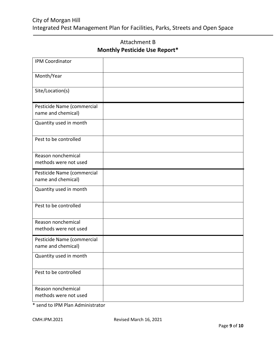## City of Morgan Hill Integrated Pest Management Plan for Facilities, Parks, Streets and Open Space

| <b>IPM Coordinator</b>                           |  |
|--------------------------------------------------|--|
| Month/Year                                       |  |
| Site/Location(s)                                 |  |
| Pesticide Name (commercial<br>name and chemical) |  |
| Quantity used in month                           |  |
| Pest to be controlled                            |  |
| Reason nonchemical<br>methods were not used      |  |
| Pesticide Name (commercial<br>name and chemical) |  |
| Quantity used in month                           |  |
| Pest to be controlled                            |  |
| Reason nonchemical<br>methods were not used      |  |
| Pesticide Name (commercial<br>name and chemical) |  |
| Quantity used in month                           |  |
| Pest to be controlled                            |  |
| Reason nonchemical<br>methods were not used      |  |

Attachment B **Monthly Pesticide Use Report\***

\* send to IPM Plan Administrator